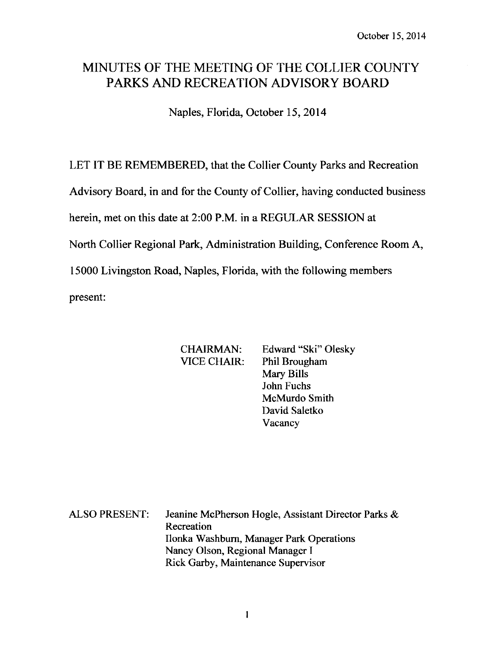# MINUTES OF THE MEETING OF THE COLLIER COUNTY PARKS AND RECREATION ADVISORY BOARD

Naples, Florida, October 15,2014

LET IT BE REMEMBERED, that the Collier County Parks and Recreation

Advisory Board, in and for the County of Collier, having conducted business

herein, met on this date at 2:00 P.M. in a REGULAR SESSION at

North Collier Regional Park, Administration Building, Conference Room A,

15000 Livingston Road, Naples, Florida, with the following members

present:

CHAIRMAN: Edward "Ski" Olesky VICE CHAIR: Phil Brougham Mary Bills John Fuchs McMurdo Smith David Saletko Vacancy

ALSO PRESENT: Jeanine McPherson Hogle, Assistant Director Parks & Recreation Ilonka Washburn, Manager Park Operations Nancy Olson, Regional Manager I Rick Garby, Maintenance Supervisor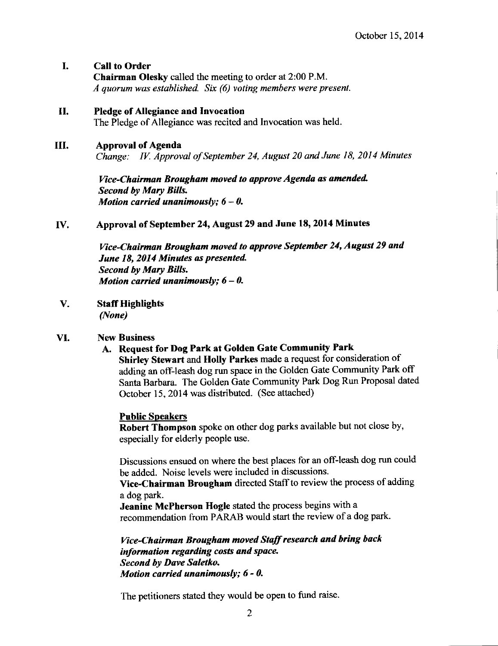# I. Call to Order

Chairman Olesky called the meeting to order at 2:00 P.M. A quorum was established. Six (6) voting members were present.

#### II. Pledge of Allegiance and Invocation

The Pledge of Allegiance was recited and Invocation was held.

# III. Approval of Agenda

Change: IV. Approval of September 24, August 20 and June 18, 2014 Minutes

Vice-Chairman Brougham moved to approve Agenda as amended Second by Mary Bilk. Motion carried unanimously;  $6 - \theta$ .

#### IV. Approval of September 24, August 29 and June 18,2014 Minutes

Vice-Chairman Brougham moved to approve September 24, August 29 and June 18, 2014 Minutes as presented. Second by Mary Bills. Motion carried unanimously;  $6 - \theta$ .

V. Staff Highlights (None)

#### VL New Business

# A. Request for Dog Park at Golden Gate Community Park

Shirley Stewart and Holly Parkes made a request for consideration of adding an off-leash dog run space in the Golden Gate Community Park off Santa Barbara. The Golden Gate Community Park Dog Run Proposal dated October 15,2014 was distributed. (See attached)

#### **Public Speakers**

Robert Thompson spoke on other dog parks available but not close by, especially for elderly people use.

Discussions ensued on where the best places for an off-leash dog run could be added. Noise levels were included in discussions.

Vice-Chairman Brougham directed Staff to review the process of adding a dog park.

Jeanine McPherson Hogle stated the process begins with a recommendation from PARAB would start the review of a dog park.

Vice-Chairman Brougham moved Staff rcsearch and bring back information regarding costs and space. Second by Dave Saletko. Motion carried unanimously;  $6 - \theta$ .

The petitioners stated they would be open to fund raise.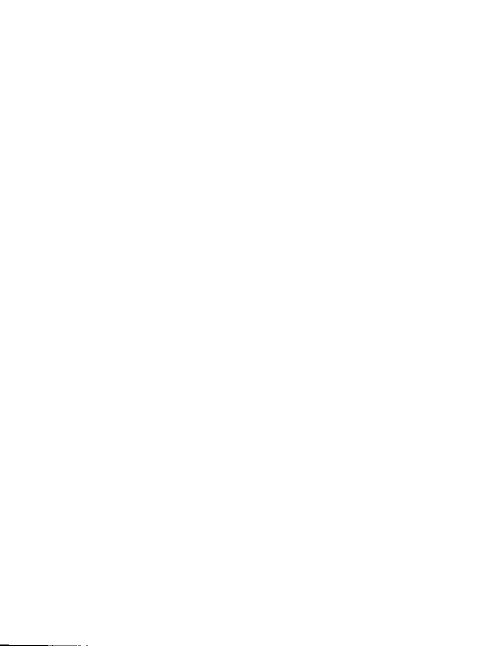in the top in the

 $\label{eq:2.1} \frac{1}{\sqrt{2}}\left(\frac{1}{\sqrt{2}}\right)^{2} \left(\frac{1}{\sqrt{2}}\right)^{2} \left(\frac{1}{\sqrt{2}}\right)^{2} \left(\frac{1}{\sqrt{2}}\right)^{2} \left(\frac{1}{\sqrt{2}}\right)^{2} \left(\frac{1}{\sqrt{2}}\right)^{2} \left(\frac{1}{\sqrt{2}}\right)^{2} \left(\frac{1}{\sqrt{2}}\right)^{2} \left(\frac{1}{\sqrt{2}}\right)^{2} \left(\frac{1}{\sqrt{2}}\right)^{2} \left(\frac{1}{\sqrt{2}}\right)^{2} \left(\$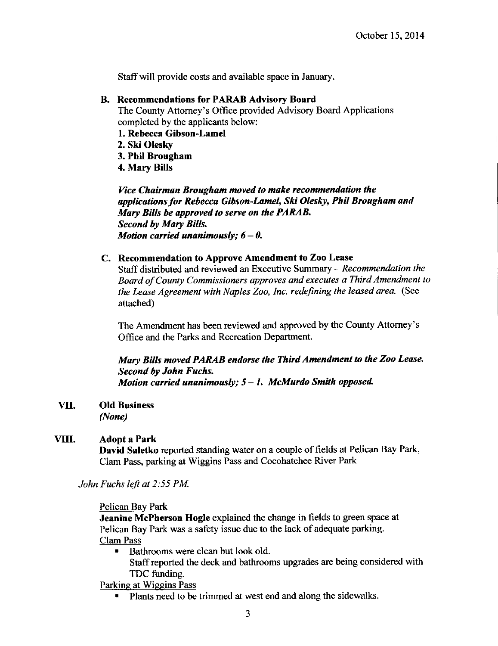Staff will provide costs and available space in January.

#### B. Recommendations for PARAB Advisory Board

The County Attorney's Office provided Advisory Board Applications completed by the applicants below:

- 1. Rebecca Gibson-Lanel
- 2. Ski Olesky

3. Phil Brougham

4. Mary Bills

Vice Chairman Brougham moved to make recommendation the applications for Rebecca Gibson-Lamel, Ski Olesky, Phil Brougham and Mary Bills be approved to serve on the PARAB. Second by Mary Bills. Motion carried unanimously;  $6 - 0$ .

#### C. Recomnendation to Approve Amendment to Zoo Lease

Staff distributed and reviewed an Executive Summary - Recommendation the Board of County Commissioners approves and executes a Third Amendment to the Lease Agreement with Naples Zoo, Inc. redefning the leased area. (See attached)

The Amendment has been reviewed and approved by the County Attorney's Office and the Parks and Recreation Department.

Mary Bills moved PARAB endorse the Third Amendment to the Zoo Lease. Second by John Fuchs. Motion carried unanimously;  $5 - 1$ . McMurdo Smith opposed.

VII. Old Business (None)

# VIII. Adopt a Park

David Saletko reported standing water on a couple of fields at Pelican Bay Park, Clam Pass, parking at Wiggins Pass and Cocohatchee River Park

John Fuchs left at 2:55 PM.

Pelican Bay Park

Jeanine McPherson Hogle explained the change in fields to green space at Pelican Bay Park was a safety issue due to the lack of adequate parking. Clam Pass

. Bathrooms were clean but look old. Staff reported the deck and bathrooms upgrades are being considered with TDC tunding.

Parkine at Wiggins Pass

. Plants need to be trimmed at west end and alons the sidewalks.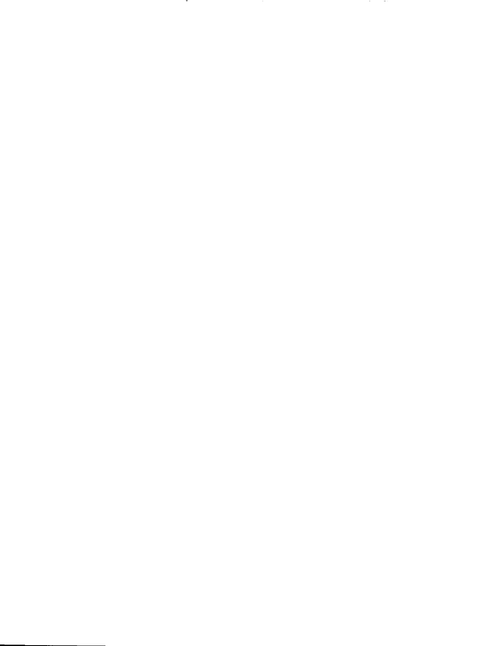$\mathcal{N}_{\mathrm{c}}$ - 77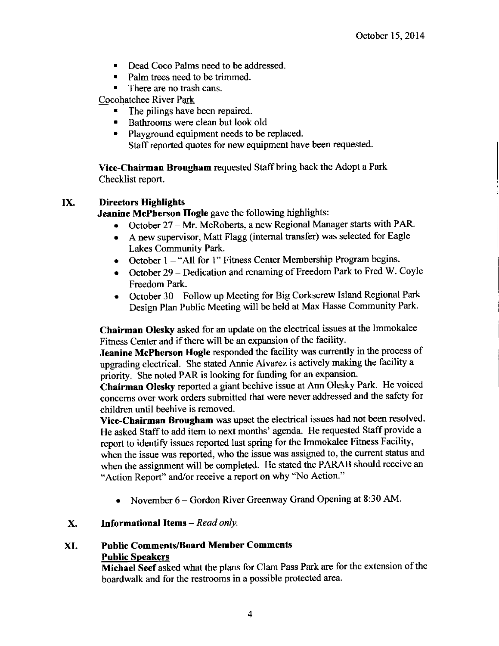- Dead Coco Palms need to be addressed.
- Palm trees need to be trimmed.
- There are no trash cans.

Cocohatchee River Park

- The pilings have been repaired.
- Bathrooms were clean but look old
- Playground equipment needs to be replaced. Staff reported quotes for new equipment have been requested.

Vice-Chairman Brougham requested Staff bring back the Adopt a Park Checklist report.

#### IX. Directors Highlights

**Jeanine McPherson Hogle** gave the following highlights:

- October  $27 Mr.$  McRoberts, a new Regional Manager starts with PAR.
- a A new supervisor, Matt Flagg (intemal transfer) was selected for Eagle Lakes Community Park.
- October  $1 "All for 1" Fitness Center Membership Program begins.$
- October 29 Dedication and renaming of Freedom Park to Fred W. Coyle Freedom Park.
- r October 30 Follow up Meeting for Big Corkscrew Island Regional Park Design Plan Public Meeting will be held at Max Hasse Community Park.

Chairman Olesky asked for an update on the electrical issues at the lmmokalee Fitness Center and if there will be an expansion of the facility.

Jeanine McPherson Hogle responded the facility was currently in the process of upgrading electrical. She stated Annie Alvarez is actively making the facility <sup>a</sup> priority. She noted PAR is looking for funding for an expansion.

Chairman Olesky reported a giant beehive issue at Ann Olesky Park. He voiced concems over work orders submitted that were never addressed and the safety for children until beehive is removed.

Vice-Chairman Brougham was upset the electrical issues had not been resolved. He asked Staff to add item to next months' agenda. He requested Staff provide a report to identify issues reported last spring for the Immokalee Fitness Facility, when the issue was reported, who the issue was assigned to, the current status and when the assignment will be completed. He stated the PARAB should receive an "Action Report" and/or receive a report on why "No Action."

• November 6 – Gordon River Greenway Grand Opening at 8:30 AM.

#### Informational Items - Read only. x.

#### Public Comments/Board Member Comments Public Speakers XL

Michael Seef asked what the plans for Clam Pass Park are for the extension of the boardwalk and for the restrooms in a possible protected area.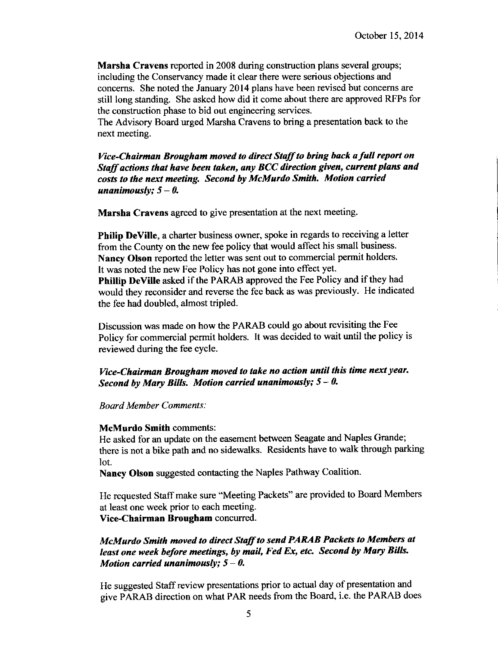Marsha Cravens reported in 2008 during construction plans several groups; including the Conservancy made it clear there were serious objections and concems. She noted the January 2014 plans have been revised but concems are still long standing. She asked how did it come about there are approved RFPs for the construction phase to bid out engineering services.

The Advisory Board wged Marsha Cravens to bring a presentation back to the next meeting.

Vice-Chairman Brougham moved to direct Staff to bring back a full report on Staff actions that have been taken, any BCC direction given, current plans and costs to the next meeting. Second by McMurdo Smith. Motion carried unanimously;  $5 - \theta$ .

Marsha Cravens agreed to give presentation at the next meeting.

Philip DeVille, a charter business owner, spoke in regards to receiving a letter from the County on the new fee policy that would affect his small business. Nancy Olson reported the letter was sent out to commercial permit holders. It was noted the new Fee Policy has not gone into effect yet. Phillip DeVille asked if the PARAB approved the Fee Policy and if they had would they reconsider and reverse the fee back as was previously. He indicated the fee had doubled, almost tripled.

Discussion was made on how the PARAB could go about revisiting the Fee Policy for commercial permit holders. It was decided to wait until the policy is reviewed during the fee cycle.

Vice-Chairman Brougham moved to take no action until this lime next yean Second by Mary Bills. Motion carried unanimously;  $5 - \theta$ .

#### Board Member Comments:

#### McMurdo Smith comments:

He asked for an update on the easement between Seagate and Naples Grande; there is not a bike path and no sidewalks. Residents have to walk through parking lot.

Nancy Olson suggested contacting the Naples Pathway Coalition.

He requested Staff make sure "Meeting Packets" are provided to Board Members at least one week prior to each meeting. Vice-Chairman Brougham concurred.

# McMurdo Smith moved to direct Staff to send PARAB Packets to Members at least one week before meetings, by mail, Fed Ex, etc. Second by Mary Bills. Motion carried unanimously;  $5 - 0$ .

He suggested Staff review presentations prior to actual day of presentation and eive PARAB direction on what PAR needs from the Board, i.e. the PARAB does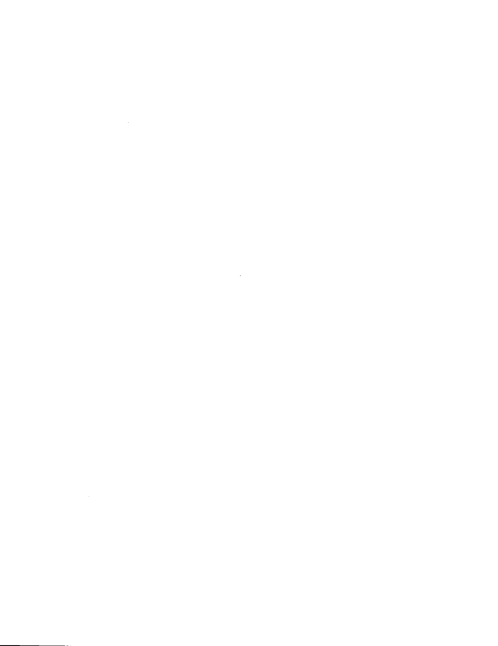$\label{eq:2.1} \frac{1}{\sqrt{2}}\int_{0}^{\infty}\frac{1}{\sqrt{2\pi}}\left(\frac{1}{\sqrt{2\pi}}\right)^{2\alpha} \frac{1}{\sqrt{2\pi}}\int_{0}^{\infty}\frac{1}{\sqrt{2\pi}}\left(\frac{1}{\sqrt{2\pi}}\right)^{\alpha} \frac{1}{\sqrt{2\pi}}\int_{0}^{\infty}\frac{1}{\sqrt{2\pi}}\frac{1}{\sqrt{2\pi}}\frac{1}{\sqrt{2\pi}}\frac{1}{\sqrt{2\pi}}\frac{1}{\sqrt{2\pi}}\frac{1}{\sqrt{2\pi}}\frac{1}{\sqrt{2\pi}}$ 

 $\label{eq:2.1} \frac{1}{\sqrt{2}}\int_{0}^{\infty}\frac{1}{\sqrt{2\pi}}\left(\frac{1}{\sqrt{2\pi}}\right)^{2\alpha} \frac{1}{\sqrt{2\pi}}\int_{0}^{\infty}\frac{1}{\sqrt{2\pi}}\left(\frac{1}{\sqrt{2\pi}}\right)^{\alpha} \frac{1}{\sqrt{2\pi}}\int_{0}^{\infty}\frac{1}{\sqrt{2\pi}}\frac{1}{\sqrt{2\pi}}\frac{1}{\sqrt{2\pi}}\frac{1}{\sqrt{2\pi}}\frac{1}{\sqrt{2\pi}}\frac{1}{\sqrt{2\pi}}\frac{1}{\sqrt{2\pi}}$ 

 $\label{eq:2.1} \frac{1}{\sqrt{2}}\int_{\mathbb{R}^3}\frac{1}{\sqrt{2}}\left(\frac{1}{\sqrt{2}}\right)^2\frac{1}{\sqrt{2}}\left(\frac{1}{\sqrt{2}}\right)^2\frac{1}{\sqrt{2}}\left(\frac{1}{\sqrt{2}}\right)^2\frac{1}{\sqrt{2}}\left(\frac{1}{\sqrt{2}}\right)^2.$